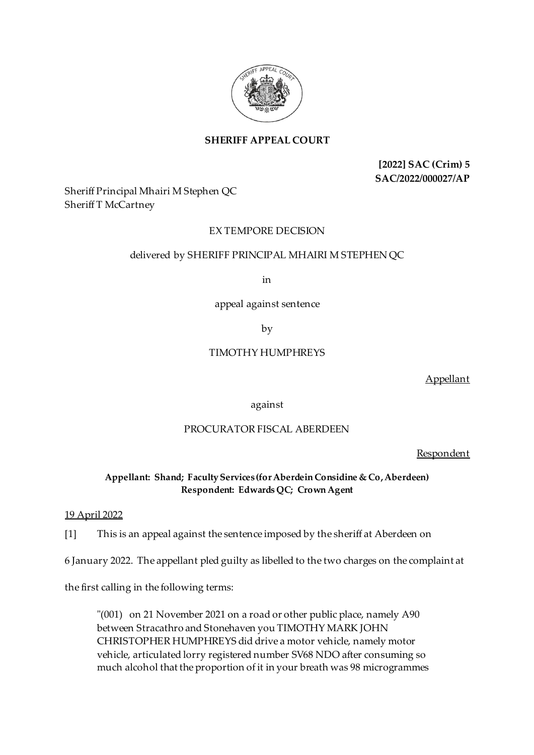

# **SHERIFF APPEAL COURT**

**[2022] SAC (Crim) 5 SAC/2022/000027/AP**

Sheriff Principal Mhairi M Stephen QC Sheriff T McCartney

## EX TEMPORE DECISION

### delivered by SHERIFF PRINCIPAL MHAIRI M STEPHEN QC

in

appeal against sentence

by

## TIMOTHY HUMPHREYS

Appellant

against

## PROCURATOR FISCAL ABERDEEN

Respondent

### **Appellant: Shand; Faculty Services (for Aberdein Considine & Co, Aberdeen) Respondent: Edwards QC; Crown Agent**

#### 19 April 2022

[1] This is an appeal against the sentence imposed by the sheriff at Aberdeen on

6 January 2022. The appellant pled guilty as libelled to the two charges on the complaint at

the first calling in the following terms:

"(001) on 21 November 2021 on a road or other public place, namely A90 between Stracathro and Stonehaven you TIMOTHY MARK JOHN CHRISTOPHER HUMPHREYS did drive a motor vehicle, namely motor vehicle, articulated lorry registered number SV68 NDO after consuming so much alcohol that the proportion of it in your breath was 98 microgrammes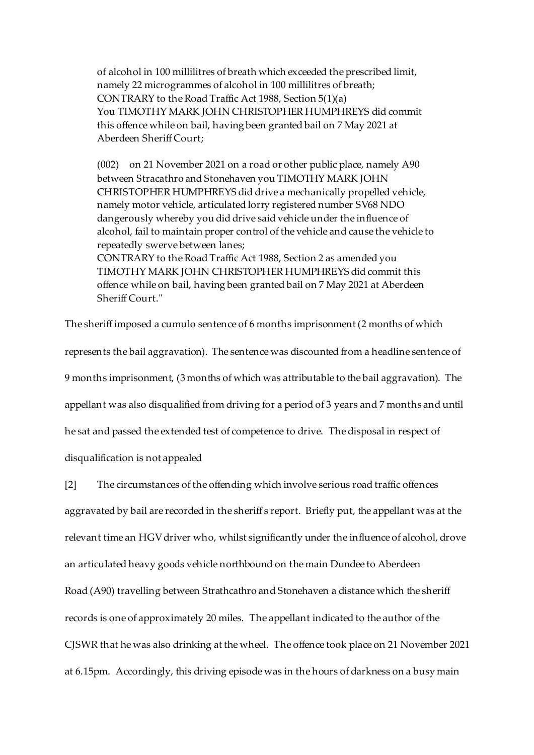of alcohol in 100 millilitres of breath which exceeded the prescribed limit, namely 22 microgrammes of alcohol in 100 millilitres of breath; CONTRARY to the Road Traffic Act 1988, Section 5(1)(a) You TIMOTHY MARK JOHN CHRISTOPHER HUMPHREYS did commit this offence while on bail, having been granted bail on 7 May 2021 at Aberdeen Sheriff Court;

(002) on 21 November 2021 on a road or other public place, namely A90 between Stracathro and Stonehaven you TIMOTHY MARK JOHN CHRISTOPHER HUMPHREYS did drive a mechanically propelled vehicle, namely motor vehicle, articulated lorry registered number SV68 NDO dangerously whereby you did drive said vehicle under the influence of alcohol, fail to maintain proper control of the vehicle and cause the vehicle to repeatedly swerve between lanes; CONTRARY to the Road Traffic Act 1988, Section 2 as amended you TIMOTHY MARK JOHN CHRISTOPHER HUMPHREYS did commit this offence while on bail, having been granted bail on 7 May 2021 at Aberdeen Sheriff Court."

The sheriff imposed a cumulo sentence of 6 months imprisonment (2 months of which

represents the bail aggravation). The sentence was discounted from a headline sentence of 9 months imprisonment, (3months of which was attributable to the bail aggravation). The appellant was also disqualified from driving for a period of 3 years and 7 months and until he sat and passed the extended test of competence to drive. The disposal in respect of disqualification is not appealed

[2] The circumstances of the offending which involve serious road traffic offences aggravated by bail are recorded in the sheriff's report. Briefly put, the appellant was at the relevant time an HGV driver who, whilst significantly under the influence of alcohol, drove an articulated heavy goods vehicle northbound on the main Dundee to Aberdeen Road (A90) travelling between Strathcathro and Stonehaven a distance which the sheriff records is one of approximately 20 miles. The appellant indicated to the author of the CJSWR that he was also drinking at the wheel. The offence took place on 21 November 2021 at 6.15pm. Accordingly, this driving episode was in the hours of darkness on a busy main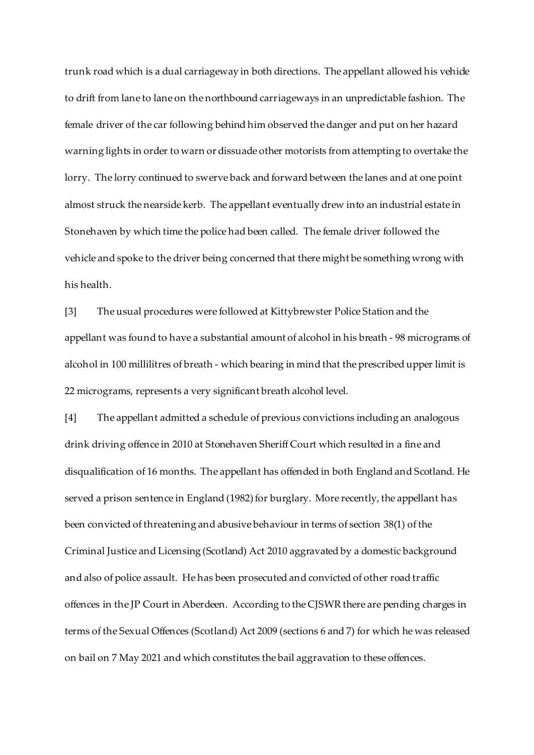trunk road which is a dual carriageway in both directions. The appellant allowed his vehicle to drift from lane to lane on the northbound carriageways in an unpredictable fashion. The female driver of the car following behind him observed the danger and put on her hazard warning lights in order to warn or dissuade other motorists from attempting to overtake the lorry. The lorry continued to swerve back and forward between the lanes and at one point almost struck the nearside kerb. The appellant eventually drew into an industrial estate in Stonehaven by which time the police had been called. The female driver followed the vehicle and spoke to the driver being concerned that there might be something wrong with his health.

[3] The usual procedures were followed at Kittybrewster Police Station and the appellant was found to have a substantial amount of alcohol in his breath - 98 micrograms of alcohol in 100 millilitres of breath - which bearing in mind that the prescribed upper limit is 22 micrograms, represents a very significant breath alcohol level.

[4] The appellant admitted a schedule of previous convictions including an analogous drink driving offence in 2010 at Stonehaven Sheriff Court which resulted in a fine and disqualification of 16 months. The appellant has offended in both England and Scotland. He served a prison sentence in England (1982) for burglary. More recently, the appellant has been convicted of threatening and abusive behaviour in terms of section 38(1) of the Criminal Justice and Licensing (Scotland) Act 2010 aggravated by a domestic background and also of police assault. He has been prosecuted and convicted of other road traffic offences in the JP Court in Aberdeen. According to the CJSWR there are pending charges in terms of the Sexual Offences (Scotland) Act 2009 (sections 6 and 7) for which he was released on bail on 7 May 2021 and which constitutes the bail aggravation to these offences.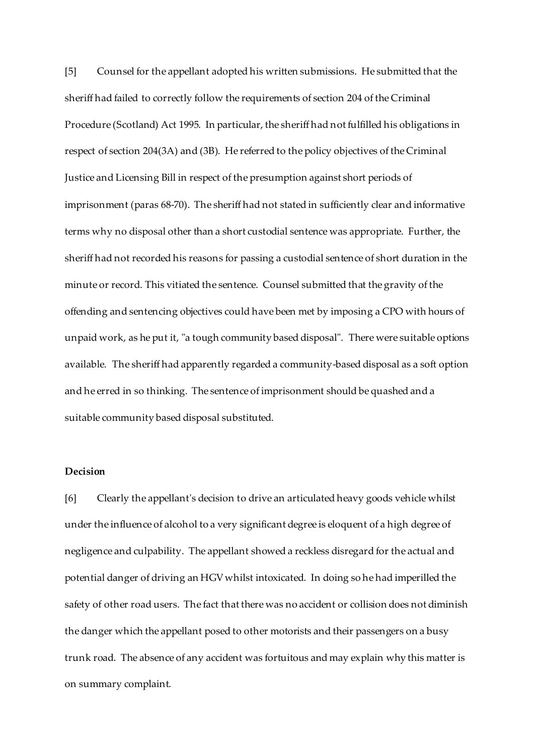[5] Counsel for the appellant adopted his written submissions. He submitted that the sheriff had failed to correctly follow the requirements of section 204 of the Criminal Procedure (Scotland) Act 1995. In particular, the sheriff had not fulfilled his obligations in respect of section 204(3A) and (3B). He referred to the policy objectives of the Criminal Justice and Licensing Bill in respect of the presumption against short periods of imprisonment (paras 68-70). The sheriff had not stated in sufficiently clear and informative terms why no disposal other than a short custodial sentence was appropriate. Further, the sheriff had not recorded his reasons for passing a custodial sentence of short duration in the minute or record. This vitiated the sentence. Counsel submitted that the gravity of the offending and sentencing objectives could have been met by imposing a CPO with hours of unpaid work, as he put it, "a tough community based disposal". There were suitable options available. The sheriff had apparently regarded a community-based disposal as a soft option and he erred in so thinking. The sentence of imprisonment should be quashed and a suitable community based disposal substituted.

### **Decision**

[6] Clearly the appellant's decision to drive an articulated heavy goods vehicle whilst under the influence of alcohol to a very significant degree is eloquent of a high degree of negligence and culpability. The appellant showed a reckless disregard for the actual and potential danger of driving an HGV whilst intoxicated. In doing so he had imperilled the safety of other road users. The fact that there was no accident or collision does not diminish the danger which the appellant posed to other motorists and their passengers on a busy trunk road. The absence of any accident was fortuitous and may explain why this matter is on summary complaint.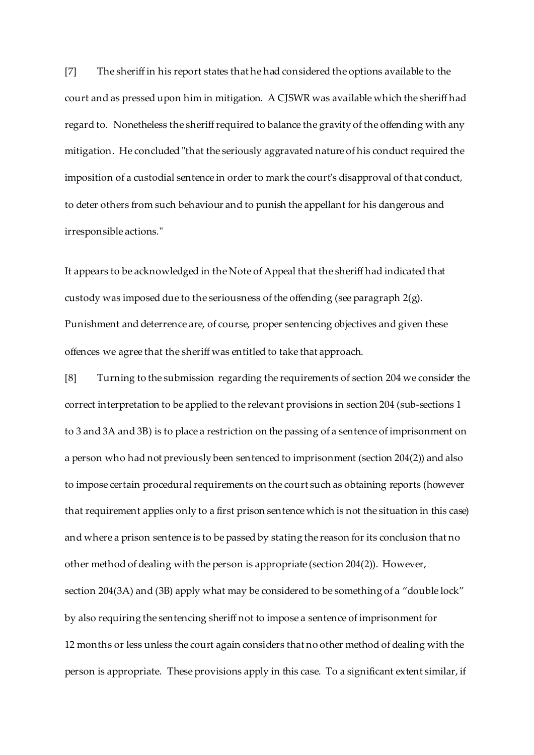[7] The sheriff in his report states that he had considered the options available to the court and as pressed upon him in mitigation. A CJSWR was available which the sheriff had regard to. Nonetheless the sheriff required to balance the gravity of the offending with any mitigation. He concluded "that the seriously aggravated nature of his conduct required the imposition of a custodial sentence in order to mark the court's disapproval of that conduct, to deter others from such behaviour and to punish the appellant for his dangerous and irresponsible actions."

It appears to be acknowledged in the Note of Appeal that the sheriff had indicated that custody was imposed due to the seriousness of the offending (see paragraph 2(g). Punishment and deterrence are, of course, proper sentencing objectives and given these offences we agree that the sheriff was entitled to take that approach.

[8] Turning to the submission regarding the requirements of section 204 we consider the correct interpretation to be applied to the relevant provisions in section 204 (sub-sections 1 to 3 and 3A and 3B) is to place a restriction on the passing of a sentence of imprisonment on a person who had not previously been sentenced to imprisonment (section 204(2)) and also to impose certain procedural requirements on the court such as obtaining reports (however that requirement applies only to a first prison sentence which is not the situation in this case) and where a prison sentence is to be passed by stating the reason for its conclusion that no other method of dealing with the person is appropriate (section 204(2)). However, section 204(3A) and (3B) apply what may be considered to be something of a "double lock" by also requiring the sentencing sheriff not to impose a sentence of imprisonment for 12 months or less unless the court again considers that no other method of dealing with the person is appropriate. These provisions apply in this case. To a significant extent similar, if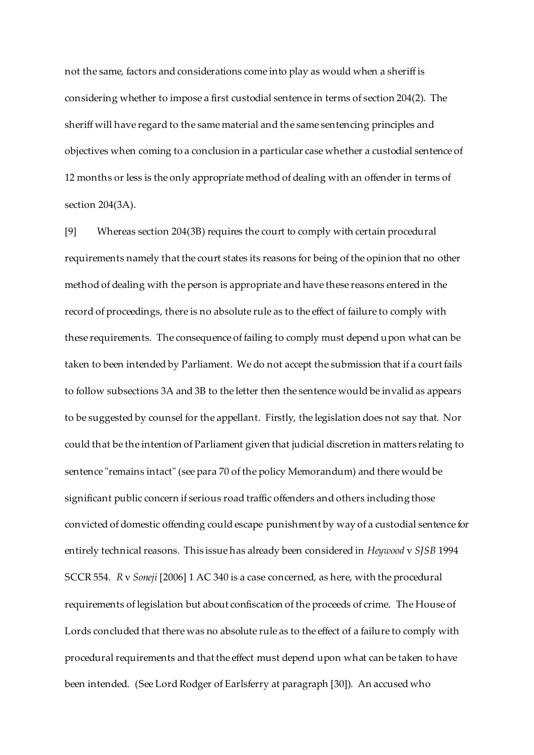not the same, factors and considerations come into play as would when a sheriff is considering whether to impose a first custodial sentence in terms of section 204(2). The sheriff will have regard to the same material and the same sentencing principles and objectives when coming to a conclusion in a particular case whether a custodial sentence of 12 months or less is the only appropriate method of dealing with an offender in terms of section 204(3A).

[9] Whereas section 204(3B) requires the court to comply with certain procedural requirements namely that the court states its reasons for being of the opinion that no other method of dealing with the person is appropriate and have these reasons entered in the record of proceedings, there is no absolute rule as to the effect of failure to comply with these requirements. The consequence of failing to comply must depend upon what can be taken to been intended by Parliament. We do not accept the submission that if a court fails to follow subsections 3A and 3B to the letter then the sentence would be invalid as appears to be suggested by counsel for the appellant. Firstly, the legislation does not say that. Nor could that be the intention of Parliament given that judicial discretion in matters relating to sentence "remains intact" (see para 70 of the policy Memorandum) and there would be significant public concern if serious road traffic offenders and others including those convicted of domestic offending could escape punishment by way of a custodial sentence for entirely technical reasons. This issue has already been considered in *Heywood* v *SJSB* 1994 SCCR 554. *R* v *Soneji* [2006] 1 AC 340 is a case concerned, as here, with the procedural requirements of legislation but about confiscation of the proceeds of crime. The House of Lords concluded that there was no absolute rule as to the effect of a failure to comply with procedural requirements and that the effect must depend upon what can be taken to have been intended. (See Lord Rodger of Earlsferry at paragraph [30]). An accused who